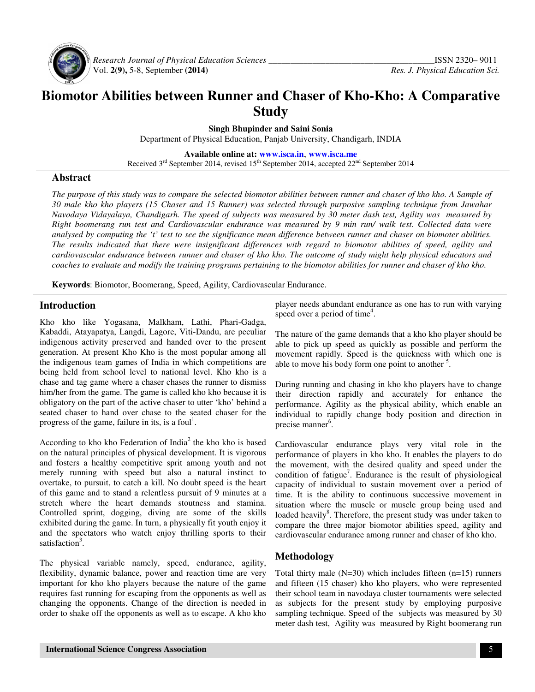

 *Research Journal of Physical Education Sciences \_\_\_\_\_\_\_\_\_\_\_\_\_\_\_\_\_\_\_\_\_\_\_\_\_\_\_\_\_\_\_\_\_\_\_\_\_\_*ISSN 2320– 9011

# **Biomotor Abilities between Runner and Chaser of Kho-Kho: A Comparative Study**

**Singh Bhupinder and Saini Sonia** 

Department of Physical Education, Panjab University, Chandigarh, INDIA

**Available online at: www.isca.in**, **www.isca.me**

Received  $3<sup>rd</sup>$  September 2014, revised  $15<sup>th</sup>$  September 2014, accepted  $22<sup>nd</sup>$  September 2014

## **Abstract**

*The purpose of this study was to compare the selected biomotor abilities between runner and chaser of kho kho. A Sample of 30 male kho kho players (15 Chaser and 15 Runner) was selected through purposive sampling technique from Jawahar Navodaya Vidayalaya, Chandigarh. The speed of subjects was measured by 30 meter dash test, Agility was measured by Right boomerang run test and Cardiovascular endurance was measured by 9 min run/ walk test. Collected data were analysed by computing the 't' test to see the significance mean difference between runner and chaser on biomoter abilities. The results indicated that there were insignificant differences with regard to biomotor abilities of speed, agility and cardiovascular endurance between runner and chaser of kho kho. The outcome of study might help physical educators and coaches to evaluate and modify the training programs pertaining to the biomotor abilities for runner and chaser of kho kho.* 

**Keywords**: Biomotor, Boomerang, Speed, Agility, Cardiovascular Endurance.

# **Introduction**

Kho kho like Yogasana, Malkham, Lathi, Phari-Gadga, Kabaddi, Atayapatya, Langdi, Lagore, Viti-Dandu, are peculiar indigenous activity preserved and handed over to the present generation. At present Kho Kho is the most popular among all the indigenous team games of India in which competitions are being held from school level to national level. Kho kho is a chase and tag game where a chaser chases the runner to dismiss him/her from the game. The game is called kho kho because it is obligatory on the part of the active chaser to utter 'kho' behind a seated chaser to hand over chase to the seated chaser for the progress of the game, failure in its, is a foul<sup>1</sup>.

According to kho kho Federation of India<sup>2</sup> the kho kho is based on the natural principles of physical development. It is vigorous and fosters a healthy competitive sprit among youth and not merely running with speed but also a natural instinct to overtake, to pursuit, to catch a kill. No doubt speed is the heart of this game and to stand a relentless pursuit of 9 minutes at a stretch where the heart demands stoutness and stamina. Controlled sprint, dogging, diving are some of the skills exhibited during the game. In turn, a physically fit youth enjoy it and the spectators who watch enjoy thrilling sports to their satisfaction<sup>3</sup>.

The physical variable namely, speed, endurance, agility, flexibility, dynamic balance, power and reaction time are very important for kho kho players because the nature of the game requires fast running for escaping from the opponents as well as changing the opponents. Change of the direction is needed in order to shake off the opponents as well as to escape. A kho kho

player needs abundant endurance as one has to run with varying speed over a period of time<sup>4</sup>.

The nature of the game demands that a kho kho player should be able to pick up speed as quickly as possible and perform the movement rapidly. Speed is the quickness with which one is able to move his body form one point to another  $5$ .

During running and chasing in kho kho players have to change their direction rapidly and accurately for enhance the performance. Agility as the physical ability, which enable an individual to rapidly change body position and direction in precise manner<sup>6</sup>.

Cardiovascular endurance plays very vital role in the performance of players in kho kho. It enables the players to do the movement, with the desired quality and speed under the condition of fatigue<sup>7</sup>. Endurance is the result of physiological capacity of individual to sustain movement over a period of time. It is the ability to continuous successive movement in situation where the muscle or muscle group being used and loaded heavily<sup>8</sup>. Therefore, the present study was under taken to compare the three major biomotor abilities speed, agility and cardiovascular endurance among runner and chaser of kho kho.

# **Methodology**

Total thirty male  $(N=30)$  which includes fifteen  $(n=15)$  runners and fifteen (15 chaser) kho kho players, who were represented their school team in navodaya cluster tournaments were selected as subjects for the present study by employing purposive sampling technique. Speed of the subjects was measured by 30 meter dash test, Agility was measured by Right boomerang run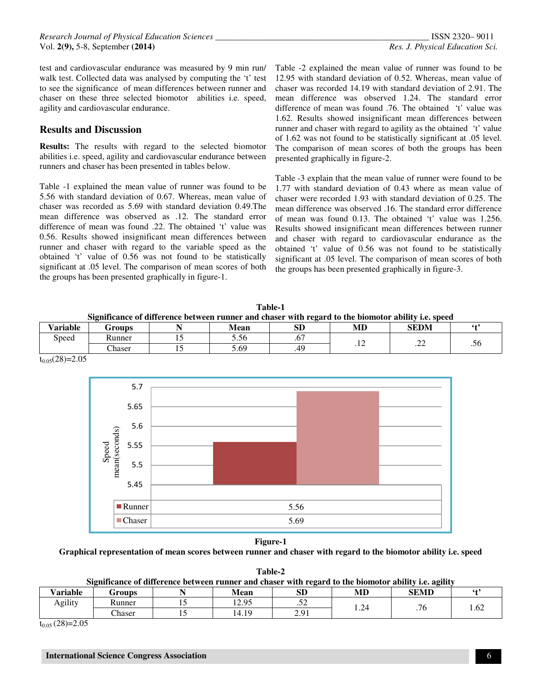test and cardiovascular endurance was measured by 9 min run/ walk test. Collected data was analysed by computing the 't' test to see the significance of mean differences between runner and chaser on these three selected biomotor abilities i.e. speed, agility and cardiovascular endurance.

## **Results and Discussion**

**Results:** The results with regard to the selected biomotor abilities i.e. speed, agility and cardiovascular endurance between runners and chaser has been presented in tables below.

Table -1 explained the mean value of runner was found to be 5.56 with standard deviation of 0.67. Whereas, mean value of chaser was recorded as 5.69 with standard deviation 0.49.The mean difference was observed as .12. The standard error difference of mean was found .22. The obtained 't' value was 0.56. Results showed insignificant mean differences between runner and chaser with regard to the variable speed as the obtained 't' value of 0.56 was not found to be statistically significant at .05 level. The comparison of mean scores of both the groups has been presented graphically in figure-1.

Table -2 explained the mean value of runner was found to be 12.95 with standard deviation of 0.52. Whereas, mean value of chaser was recorded 14.19 with standard deviation of 2.91. The mean difference was observed 1.24. The standard error difference of mean was found .76. The obtained 't' value was 1.62. Results showed insignificant mean differences between runner and chaser with regard to agility as the obtained 't' value of 1.62 was not found to be statistically significant at .05 level. The comparison of mean scores of both the groups has been presented graphically in figure-2.

Table -3 explain that the mean value of runner were found to be 1.77 with standard deviation of 0.43 where as mean value of chaser were recorded 1.93 with standard deviation of 0.25. The mean difference was observed .16. The standard error difference of mean was found 0.13. The obtained 't' value was 1.256. Results showed insignificant mean differences between runner and chaser with regard to cardiovascular endurance as the obtained 't' value of 0.56 was not found to be statistically significant at .05 level. The comparison of mean scores of both the groups has been presented graphically in figure-3.

| Table-1                                                                                             |  |  |  |  |  |  |
|-----------------------------------------------------------------------------------------------------|--|--|--|--|--|--|
| Significance of difference between runner and chaser with regard to the biomotor ability i.e. speed |  |  |  |  |  |  |

| <b>Variable</b><br>$ -$ | Groups | . . | Mean         | <b>SD</b>              | MD | <b>SEDM</b>    | 64' |
|-------------------------|--------|-----|--------------|------------------------|----|----------------|-----|
| Speed                   | Runner | --  | $-7$<br>5.56 | r <del></del><br>. U . |    | n n<br>$\cdot$ | .00 |
|                         | Chaser |     | 5.69         | 40                     |    |                |     |



 $t_{0.05}(28)=2.05$ 

## **Figure-1**

#### **Graphical representation of mean scores between runner and chaser with regard to the biomotor ability i.e. speed**

**Table-2**

**Significance of difference between runner and chaser with regard to the biomotor ability i.e. agility** 

| <b>Variable</b><br>- 7 | Groups           |                | Mean                  | <b>SD</b>            | MD<br>17 L.D   | <b>SEMD</b>     | 64'  |
|------------------------|------------------|----------------|-----------------------|----------------------|----------------|-----------------|------|
| Agility                | Kunner           | $\overline{ }$ | 12.95<br>14.JJ        | $\epsilon$<br>$\sim$ | $\sim$<br>1.24 | $\sim$<br>. 7 U | 1.V4 |
|                        | $\sim$<br>Chaser | <b>⊥ ◡</b>     | $\lambda$ 10<br>14.19 | 201<br>$\sim \sim$   |                |                 |      |

 $t_{0.05}$  (28)=2.05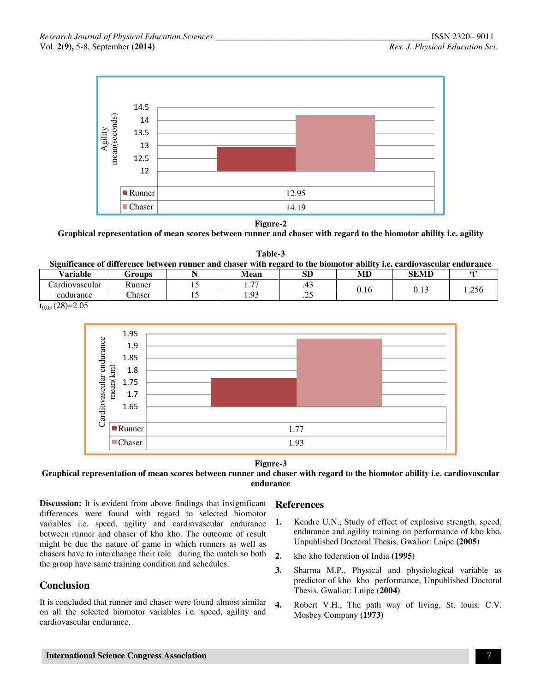

#### **Figure-2**

**Graphical representation of mean scores between runner and chaser with regard to the biomotor ability i.e. agility** 

**Table-3 Significance of difference between runner and chaser with regard to the biomotor ability i.e. cardiovascular endurance** 

| Variable       | <b>Groups</b> |   | Mean                          | ${\bf SD}$ | MD                   | SEMD           |       |
|----------------|---------------|---|-------------------------------|------------|----------------------|----------------|-------|
| ardıovascular_ | Runner        |   | $\overline{\phantom{a}}$<br>. | .          | ⌒<br>- 11 -<br>U. 16 | $\sim$<br>∪.⊥J | 1.256 |
| endurance      | haser         | … | $^{\Omega}$<br>1. <i></i>     | $\sim$     |                      |                |       |

 $t_{0.05}$  (28)=2.05





### **Graphical representation of mean scores between runner and chaser with regard to the biomotor ability i.e. cardiovascular endurance**

**Discussion:** It is evident from above findings that insignificant differences were found with regard to selected biomotor variables i.e. speed, agility and cardiovascular endurance between runner and chaser of kho kho. The outcome of result might be due the nature of game in which runners as well as chasers have to interchange their role during the match so both the group have same training condition and schedules.

# **Conclusion**

It is concluded that runner and chaser were found almost similar on all the selected biomotor variables i.e. speed, agility and cardiovascular endurance.

## **References**

- **1.** Kendre U.N., Study of effect of explosive strength, speed, endurance and agility training on performance of kho kho, Unpublished Doctoral Thesis, Gwalior: Lnipe **(2005)**
- **2.** kho kho federation of India **(1995)**
- **3.** Sharma M.P., Physical and physiological variable as predictor of kho kho performance, Unpublished Doctoral Thesis, Gwalior: Lnipe **(2004)**
- **4.** Robert V.H., The path way of living, St. louis: C.V. Mosbey Company **(1973)**